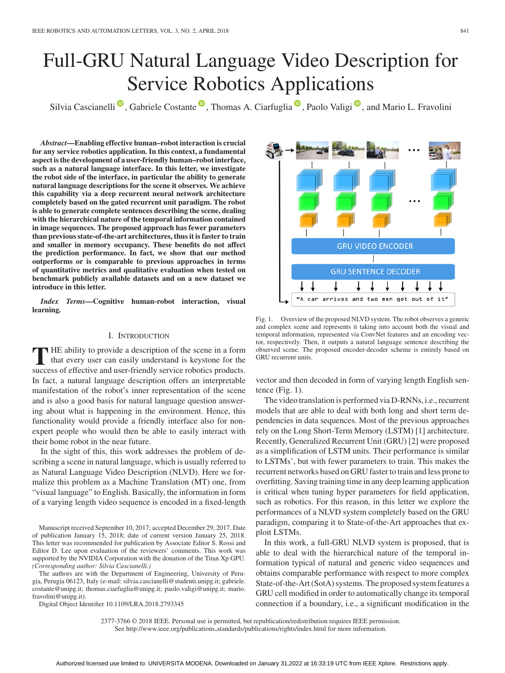# Full-GRU Natural Language Video Description for Service Robotics Applications

Silvia Cascianelli<sup>®</sup>[,](https://orcid.org/0000-0002-0486-7678) Gabriele Costante<sup>®</sup>, Thomas A. Ciarfuglia<sup>®</sup>, Paolo Valigi<sup>®</sup>, and Mario L. Fravolini

*Abstract***—Enabling effective human–robot interaction is crucial for any service robotics application. In this context, a fundamental aspect is the development of a user-friendly human–robot interface, such as a natural language interface. In this letter, we investigate the robot side of the interface, in particular the ability to generate natural language descriptions for the scene it observes. We achieve this capability via a deep recurrent neural network architecture completely based on the gated recurrent unit paradigm. The robot is able to generate complete sentences describing the scene, dealing with the hierarchical nature of the temporal information contained in image sequences. The proposed approach has fewer parameters than previous state-of-the-art architectures, thus it is faster to train and smaller in memory occupancy. These benefits do not affect the prediction performance. In fact, we show that our method outperforms or is comparable to previous approaches in terms of quantitative metrics and qualitative evaluation when tested on benchmark publicly available datasets and on a new dataset we introduce in this letter.**

*Index Terms***—Cognitive human-robot interaction, visual learning.**

#### I. INTRODUCTION

**T** HE ability to provide a description of the scene in a form that every user can easily understand is keystone for the success of effective and user-friendly service robotics products. In fact, a natural language description offers an interpretable manifestation of the robot's inner representation of the scene and is also a good basis for natural language question answering about what is happening in the environment. Hence, this functionality would provide a friendly interface also for nonexpert people who would then be able to easily interact with their home robot in the near future.

In the sight of this, this work addresses the problem of describing a scene in natural language, which is usually referred to as Natural Language Video Description (NLVD). Here we formalize this problem as a Machine Translation (MT) one, from "visual language" to English. Basically, the information in form of a varying length video sequence is encoded in a fixed-length

Manuscript received September 10, 2017; accepted December 29, 2017. Date of publication January 15, 2018; date of current version January 25, 2018. This letter was recommended for publication by Associate Editor S. Rossi and Editor D. Lee upon evaluation of the reviewers' comments. This work was supported by the NVIDIA Corporation with the donation of the Titan Xp GPU. *(Corresponding author: Silvia Cascianelli.)*

The authors are with the Department of Engineering, University of Perugia, Perugia 06123, Italy (e-mail: silvia.cascianelli@studenti.unipg.it; gabriele. costante@unipg.it; thomas.ciarfuglia@unipg.it; paolo.valigi@unipg.it; mario. fravolini@unipg.it).

Digital Object Identifier 10.1109/LRA.2018.2793345



Fig. 1. Overview of the proposed NLVD system. The robot observes a generic and complex scene and represents it taking into account both the visual and temporal information, represented via ConvNet features and an encoding vector, respectively. Then, it outputs a natural language sentence describing the observed scene. The proposed encoder-decoder scheme is entirely based on GRU recurrent units.

vector and then decoded in form of varying length English sentence (Fig. 1).

The video translation is performed via D-RNNs, i.e., recurrent models that are able to deal with both long and short term dependencies in data sequences. Most of the previous approaches rely on the Long Short-Term Memory (LSTM) [1] architecture. Recently, Generalized Recurrent Unit (GRU) [2] were proposed as a simplification of LSTM units. Their performance is similar to LSTMs', but with fewer parameters to train. This makes the recurrent networks based on GRU faster to train and less prone to overfitting. Saving training time in any deep learning application is critical when tuning hyper parameters for field application, such as robotics. For this reason, in this letter we explore the performances of a NLVD system completely based on the GRU paradigm, comparing it to State-of-the-Art approaches that exploit LSTMs.

In this work, a full-GRU NLVD system is proposed, that is able to deal with the hierarchical nature of the temporal information typical of natural and generic video sequences and obtains comparable performance with respect to more complex State-of-the-Art (SotA) systems. The proposed system features a GRU cell modified in order to automatically change its temporal connection if a boundary, i.e., a significant modification in the

2377-3766 © 2018 IEEE. Personal use is permitted, but republication/redistribution requires IEEE permission. See http://www.ieee.org/publications.standards/publications/rights/index.html for more information.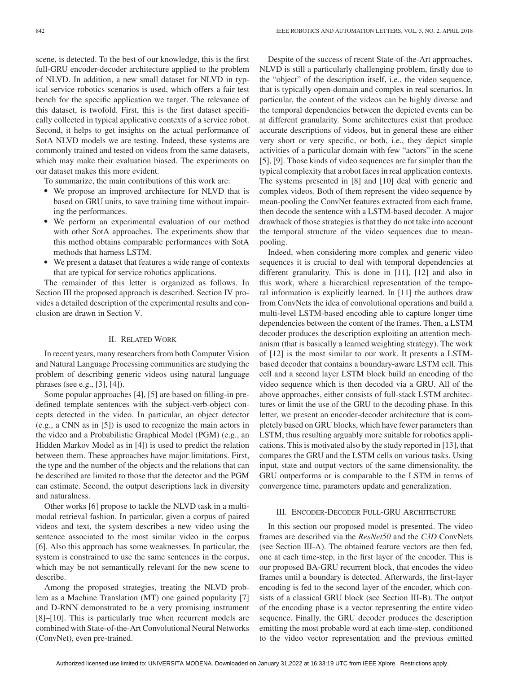scene, is detected. To the best of our knowledge, this is the first full-GRU encoder-decoder architecture applied to the problem of NLVD. In addition, a new small dataset for NLVD in typical service robotics scenarios is used, which offers a fair test bench for the specific application we target. The relevance of this dataset, is twofold. First, this is the first dataset specifically collected in typical applicative contexts of a service robot. Second, it helps to get insights on the actual performance of SotA NLVD models we are testing. Indeed, these systems are commonly trained and tested on videos from the same datasets, which may make their evaluation biased. The experiments on our dataset makes this more evident.

To summarize, the main contributions of this work are:

- We propose an improved architecture for NLVD that is based on GRU units, to save training time without impairing the performances.
- We perform an experimental evaluation of our method with other SotA approaches. The experiments show that this method obtains comparable performances with SotA methods that harness LSTM.
- $\bullet$  We present a dataset that features a wide range of contexts that are typical for service robotics applications.

The remainder of this letter is organized as follows. In Section III the proposed approach is described. Section IV provides a detailed description of the experimental results and conclusion are drawn in Section V.

#### II. RELATED WORK

In recent years, many researchers from both Computer Vision and Natural Language Processing communities are studying the problem of describing generic videos using natural language phrases (see e.g., [3], [4]).

Some popular approaches [4], [5] are based on filling-in predefined template sentences with the subject-verb-object concepts detected in the video. In particular, an object detector (e.g., a CNN as in [5]) is used to recognize the main actors in the video and a Probabilistic Graphical Model (PGM) (e.g., an Hidden Markov Model as in [4]) is used to predict the relation between them. These approaches have major limitations. First, the type and the number of the objects and the relations that can be described are limited to those that the detector and the PGM can estimate. Second, the output descriptions lack in diversity and naturalness.

Other works [6] propose to tackle the NLVD task in a multimodal retrieval fashion. In particular, given a corpus of paired videos and text, the system describes a new video using the sentence associated to the most similar video in the corpus [6]. Also this approach has some weaknesses. In particular, the system is constrained to use the same sentences in the corpus, which may be not semantically relevant for the new scene to describe.

Among the proposed strategies, treating the NLVD problem as a Machine Translation (MT) one gained popularity [7] and D-RNN demonstrated to be a very promising instrument [8]–[10]. This is particularly true when recurrent models are combined with State-of-the-Art Convolutional Neural Networks (ConvNet), even pre-trained.

Despite of the success of recent State-of-the-Art approaches, NLVD is still a particularly challenging problem, firstly due to the "object" of the description itself, i.e., the video sequence, that is typically open-domain and complex in real scenarios. In particular, the content of the videos can be highly diverse and the temporal dependencies between the depicted events can be at different granularity. Some architectures exist that produce accurate descriptions of videos, but in general these are either very short or very specific, or both, i.e., they depict simple activities of a particular domain with few "actors" in the scene [5], [9]. Those kinds of video sequences are far simpler than the typical complexity that a robot faces in real application contexts. The systems presented in [8] and [10] deal with generic and complex videos. Both of them represent the video sequence by mean-pooling the ConvNet features extracted from each frame, then decode the sentence with a LSTM-based decoder. A major drawback of those strategies is that they do not take into account the temporal structure of the video sequences due to meanpooling.

Indeed, when considering more complex and generic video sequences it is crucial to deal with temporal dependencies at different granularity. This is done in [11], [12] and also in this work, where a hierarchical representation of the temporal information is explicitly learned. In [11] the authors draw from ConvNets the idea of convolutional operations and build a multi-level LSTM-based encoding able to capture longer time dependencies between the content of the frames. Then, a LSTM decoder produces the description exploiting an attention mechanism (that is basically a learned weighting strategy). The work of [12] is the most similar to our work. It presents a LSTMbased decoder that contains a boundary-aware LSTM cell. This cell and a second layer LSTM block build an encoding of the video sequence which is then decoded via a GRU. All of the above approaches, either consists of full-stack LSTM architectures or limit the use of the GRU to the decoding phase. In this letter, we present an encoder-decoder architecture that is completely based on GRU blocks, which have fewer parameters than LSTM, thus resulting arguably more suitable for robotics applications. This is motivated also by the study reported in [13], that compares the GRU and the LSTM cells on various tasks. Using input, state and output vectors of the same dimensionality, the GRU outperforms or is comparable to the LSTM in terms of convergence time, parameters update and generalization.

# III. ENCODER-DECODER FULL-GRU ARCHITECTURE

In this section our proposed model is presented. The video frames are described via the *ResNet50* and the *C3D* ConvNets (see Section III-A). The obtained feature vectors are then fed, one at each time-step, in the first layer of the encoder. This is our proposed BA-GRU recurrent block, that encodes the video frames until a boundary is detected. Afterwards, the first-layer encoding is fed to the second layer of the encoder, which consists of a classical GRU block (see Section III-B). The output of the encoding phase is a vector representing the entire video sequence. Finally, the GRU decoder produces the description emitting the most probable word at each time-step, conditioned to the video vector representation and the previous emitted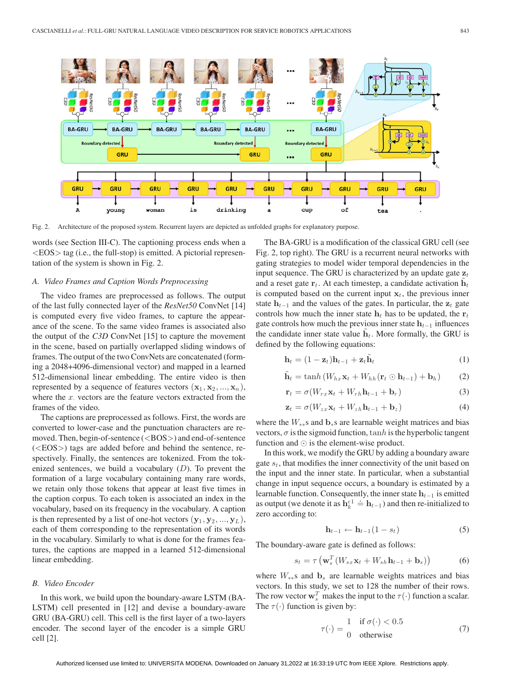

Fig. 2. Architecture of the proposed system. Recurrent layers are depicted as unfolded graphs for explanatory purpose.

words (see Section III-C). The captioning process ends when a  $\langle EOS \rangle$  tag (i.e., the full-stop) is emitted. A pictorial representation of the system is shown in Fig. 2.

#### *A. Video Frames and Caption Words Preprocessing*

The video frames are preprocessed as follows. The output of the last fully connected layer of the *ResNet50* ConvNet [14] is computed every five video frames, to capture the appearance of the scene. To the same video frames is associated also the output of the *C3D* ConvNet [15] to capture the movement in the scene, based on partially overlapped sliding windows of frames. The output of the two ConvNets are concatenated (forming a 2048+4096-dimensional vector) and mapped in a learned 512-dimensional linear embedding. The entire video is then represented by a sequence of features vectors  $(\mathbf{x}_1, \mathbf{x}_2, ..., \mathbf{x}_n)$ , where the  $x$  vectors are the feature vectors extracted from the frames of the video.

The captions are preprocessed as follows. First, the words are converted to lower-case and the punctuation characters are removed. Then, begin-of-sentence (<BOS>) and end-of-sentence (<EOS>) tags are added before and behind the sentence, respectively. Finally, the sentences are tokenized. From the tokenized sentences, we build a vocabulary  $(D)$ . To prevent the formation of a large vocabulary containing many rare words, we retain only those tokens that appear at least five times in the caption corpus. To each token is associated an index in the vocabulary, based on its frequency in the vocabulary. A caption is then represented by a list of one-hot vectors  $(\mathbf{y}_1, \mathbf{y}_2, ..., \mathbf{y}_L)$ , each of them corresponding to the representation of its words in the vocabulary. Similarly to what is done for the frames features, the captions are mapped in a learned 512-dimensional linear embedding.

#### *B. Video Encoder*

In this work, we build upon the boundary-aware LSTM (BA-LSTM) cell presented in [12] and devise a boundary-aware GRU (BA-GRU) cell. This cell is the first layer of a two-layers encoder. The second layer of the encoder is a simple GRU cell [2].

The BA-GRU is a modification of the classical GRU cell (see Fig. 2, top right). The GRU is a recurrent neural networks with gating strategies to model wider temporal dependencies in the input sequence. The GRU is characterized by an update gate  $z_t$ and a reset gate  $\mathbf{r}_t$ . At each timestep, a candidate activation  $\mathbf{h}_t$ is computed based on the current input  $x_t$ , the previous inner state  $h_{t-1}$  and the values of the gates. In particular, the  $z_t$  gate controls how much the inner state  $\mathbf{h}_t$  has to be updated, the  $\mathbf{r}_t$ gate controls how much the previous inner state  $h_{t-1}$  influences the candidate inner state value  $h_t$ . More formally, the GRU is defined by the following equations:

$$
\mathbf{h}_t = (1 - \mathbf{z}_t)\mathbf{h}_{t-1} + \mathbf{z}_t\mathbf{h}_t
$$
 (1)

$$
\tilde{\mathbf{h}}_t = \tanh\left(W_{hx}\mathbf{x}_t + W_{hh}\left(\mathbf{r}_t \odot \mathbf{h}_{t-1}\right) + \mathbf{b}_h\right) \tag{2}
$$

$$
\mathbf{r}_t = \sigma(W_{rx}\mathbf{x}_t + W_{rh}\mathbf{h}_{t-1} + \mathbf{b}_r)
$$
\n(3)

$$
\mathbf{z}_t = \sigma(W_{zx}\mathbf{x}_t + W_{zh}\mathbf{h}_{t-1} + \mathbf{b}_z)
$$
 (4)

where the <sup>W</sup>∗∗s and **<sup>b</sup>**∗s are learnable weight matrices and bias vectors,  $\sigma$  is the sigmoid function,  $\tanh$  is the hyperbolic tangent function and  $\odot$  is the element-wise product.

In this work, we modify the GRU by adding a boundary aware gate  $s_t$ , that modifies the inner connectivity of the unit based on the input and the inner state. In particular, when a substantial change in input sequence occurs, a boundary is estimated by a learnable function. Consequently, the inner state  $\mathbf{h}_{t-1}$  is emitted<br>.es output (we denote it as  $\mathbf{h}_{t-1}^{\text{el}}$  in ) and then re-initialized to as output (we denote it as  $\mathbf{h}_k^{e} = \mathbf{h}_{t-1}$ ) and then re-initialized to zero according to:

$$
\mathbf{h}_{t-1} \leftarrow \mathbf{h}_{t-1} (1 - s_t) \tag{5}
$$

The boundary-aware gate is defined as follows:

$$
s_t = \tau \left( \mathbf{w}_s^T \left( W_{sx} \mathbf{x}_t + W_{sh} \mathbf{h}_{t-1} + \mathbf{b}_s \right) \right)
$$
(6)

where  $W_{**}$ s and  $\mathbf{b}_s$  are learnable weights matrices and bias vectors. In this study, we set to 128 the number of their rows. The row vector  $\mathbf{w}_s^T$  makes the input to the  $\tau(\cdot)$  function a scalar.<br>The  $\tau(\cdot)$  function is given by: The  $\tau(\cdot)$  function is given by:

$$
\tau(\cdot) = \frac{1}{0} \quad \text{if } \sigma(\cdot) < 0.5
$$
\notherwise

\n
$$
\tag{7}
$$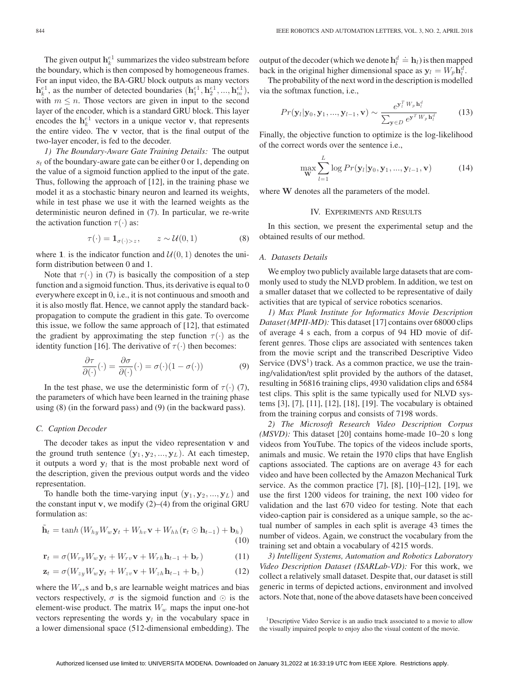The given output  $\mathbf{h}_k^{e_1}$  summarizes the video substream before the boundary, which is then composed by homogeneous frames. For an input video, the BA-GRU block outputs as many vectors  $h_k^{e_1}$ , as the number of detected boundaries  $(h_1^{e_1}, h_2^{e_1}, ..., h_m^{e_1}),$ <br>with  $m \le n$ . Those vectors are given in input to the second with  $m \leq n$ . Those vectors are given in input to the second layer of the encoder, which is a standard GRU block. This layer encodes the  $\mathbf{h}_k^{e_1}$  vectors in a unique vector **v**, that represents the entire video. The **v** vector, that is the final output of the two-layer encoder, is fed to the decoder.

*1) The Boundary-Aware Gate Training Details:* The output  $s_t$  of the boundary-aware gate can be either 0 or 1, depending on the value of a sigmoid function applied to the input of the gate. Thus, following the approach of [12], in the training phase we model it as a stochastic binary neuron and learned its weights, while in test phase we use it with the learned weights as the deterministic neuron defined in (7). In particular, we re-write the activation function  $\tau(\cdot)$  as:

$$
\tau(\cdot) = \mathbf{1}_{\sigma(\cdot) > z}, \qquad z \sim \mathcal{U}(0, 1) \tag{8}
$$

where 1. is the indicator function and  $U(0, 1)$  denotes the uniform distribution between 0 and 1.

Note that  $\tau(\cdot)$  in (7) is basically the composition of a step function and a sigmoid function. Thus, its derivative is equal to 0 everywhere except in 0, i.e., it is not continuous and smooth and it is also mostly flat. Hence, we cannot apply the standard backpropagation to compute the gradient in this gate. To overcome this issue, we follow the same approach of [12], that estimated the gradient by approximating the step function  $\tau(\cdot)$  as the identity function [16]. The derivative of  $\tau(\cdot)$  then becomes:

$$
\frac{\partial \tau}{\partial(\cdot)}(\cdot) = \frac{\partial \sigma}{\partial(\cdot)}(\cdot) = \sigma(\cdot)(1 - \sigma(\cdot))\tag{9}
$$

In the test phase, we use the deterministic form of  $\tau(\cdot)$  (7), the parameters of which have been learned in the training phase using (8) (in the forward pass) and (9) (in the backward pass).

## *C. Caption Decoder*

The decoder takes as input the video representation **v** and the ground truth sentence  $(\mathbf{y}_1, \mathbf{y}_2, ..., \mathbf{y}_L)$ . At each timestep, it outputs a word **y**<sup>l</sup> that is the most probable next word of the description, given the previous output words and the video representation.

To handle both the time-varying input  $(\mathbf{y}_1, \mathbf{y}_2, ..., \mathbf{y}_L)$  and the constant input **v**, we modify  $(2)$ – $(4)$  from the original GRU formulation as:

$$
\tilde{\mathbf{h}}_t = \tanh\left(W_{hy}W_w\mathbf{y}_t + W_{hv}\mathbf{v} + W_{hh}(\mathbf{r}_t \odot \mathbf{h}_{t-1}) + \mathbf{b}_h\right) \tag{10}
$$

$$
\mathbf{r}_t = \sigma(W_{ry}W_w\mathbf{y}_t + W_{rv}\mathbf{v} + W_{rh}\mathbf{h}_{t-1} + \mathbf{b}_r)
$$
(11)

$$
\mathbf{z}_t = \sigma(W_{zy}W_w\mathbf{y}_t + W_{zv}\mathbf{v} + W_{zh}\mathbf{h}_{t-1} + \mathbf{b}_z)
$$
 (12)

where the <sup>W</sup>∗∗s and **<sup>b</sup>**∗s are learnable weight matrices and bias vectors respectively,  $\sigma$  is the sigmoid function and  $\odot$  is the element-wise product. The matrix  $W_w$  maps the input one-hot vectors representing the words  $y_l$  in the vocabulary space in a lower dimensional space (512-dimensional embedding). The output of the decoder (which we denote  $h_l^d$  $\dot{=}$  **h**<sub>l</sub>) is then mapped<br>ace as  $\mathbf{v}_i$  – *W* **h**<sup>d</sup> back in the original higher dimensional space as  $y_l = W_p \dot{h}_l^d$ .<br>The probability of the next word in the description is modelle

The probability of the next word in the description is modelled via the softmax function, i.e.,

$$
Pr(\mathbf{y}_l|\mathbf{y}_0,\mathbf{y}_1,...,\mathbf{y}_{l-1},\mathbf{v}) \sim \frac{e^{\mathbf{y}_l^T W_p \mathbf{h}_l^d}}{\sum_{\mathbf{y}\in D} e^{\mathbf{y}^T W_p \mathbf{h}_l^d}}
$$
(13)

Finally, the objective function to optimize is the log-likelihood of the correct words over the sentence i.e.,

$$
\max_{\mathbf{W}} \sum_{l=1}^{L} \log Pr(\mathbf{y}_l | \mathbf{y}_0, \mathbf{y}_1, ..., \mathbf{y}_{l-1}, \mathbf{v})
$$
(14)

where **W** denotes all the parameters of the model.

#### IV. EXPERIMENTS AND RESULTS

In this section, we present the experimental setup and the obtained results of our method.

#### *A. Datasets Details*

We employ two publicly available large datasets that are commonly used to study the NLVD problem. In addition, we test on a smaller dataset that we collected to be representative of daily activities that are typical of service robotics scenarios.

*1) Max Plank Institute for Informatics Movie Description Dataset (MPII-MD):* This dataset [17] contains over 68000 clips of average 4 s each, from a corpus of 94 HD movie of different genres. Those clips are associated with sentences taken from the movie script and the transcribed Descriptive Video Service  $(DVS<sup>1</sup>)$  track. As a common practice, we use the training/validation/test split provided by the authors of the dataset, resulting in 56816 training clips, 4930 validation clips and 6584 test clips. This split is the same typically used for NLVD systems [3], [7], [11], [12], [18], [19]. The vocabulary is obtained from the training corpus and consists of 7198 words.

*2) The Microsoft Research Video Description Corpus (MSVD):* This dataset [20] contains home-made 10–20 s long videos from YouTube. The topics of the videos include sports, animals and music. We retain the 1970 clips that have English captions associated. The captions are on average 43 for each video and have been collected by the Amazon Mechanical Turk service. As the common practice [7], [8], [10]–[12], [19], we use the first 1200 videos for training, the next 100 video for validation and the last 670 video for testing. Note that each video-caption pair is considered as a unique sample, so the actual number of samples in each split is average 43 times the number of videos. Again, we construct the vocabulary from the training set and obtain a vocabulary of 4215 words.

*3) Intelligent Systems, Automation and Robotics Laboratory Video Description Dataset (ISARLab-VD):* For this work, we collect a relatively small dataset. Despite that, our dataset is still generic in terms of depicted actions, environment and involved actors. Note that, none of the above datasets have been conceived

<sup>1</sup>Descriptive Video Service is an audio track associated to a movie to allow the visually impaired people to enjoy also the visual content of the movie.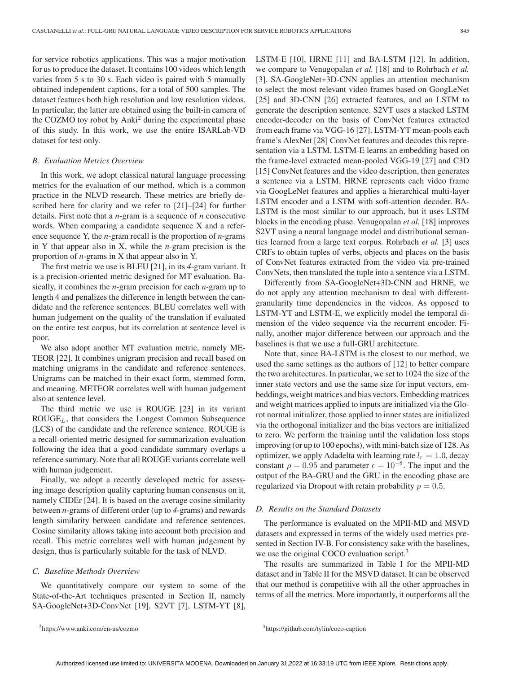for service robotics applications. This was a major motivation for us to produce the dataset. It contains 100 videos which length varies from 5 s to 30 s. Each video is paired with 5 manually obtained independent captions, for a total of 500 samples. The dataset features both high resolution and low resolution videos. In particular, the latter are obtained using the built-in camera of the COZMO toy robot by Anki<sup>2</sup> during the experimental phase of this study. In this work, we use the entire ISARLab-VD dataset for test only.

#### *B. Evaluation Metrics Overview*

In this work, we adopt classical natural language processing metrics for the evaluation of our method, which is a common practice in the NLVD research. These metrics are briefly described here for clarity and we refer to [21]–[24] for further details. First note that a *n*-gram is a sequence of *n* consecutive words. When comparing a candidate sequence X and a reference sequence Y, the *n*-gram recall is the proportion of *n*-grams in Y that appear also in X, while the *n*-gram precision is the proportion of *n*-grams in X that appear also in Y.

The first metric we use is BLEU [21], in its *4*-gram variant. It is a precision-oriented metric designed for MT evaluation. Basically, it combines the *n*-gram precision for each *n*-gram up to length 4 and penalizes the difference in length between the candidate and the reference sentences. BLEU correlates well with human judgement on the quality of the translation if evaluated on the entire test corpus, but its correlation at sentence level is poor.

We also adopt another MT evaluation metric, namely ME-TEOR [22]. It combines unigram precision and recall based on matching unigrams in the candidate and reference sentences. Unigrams can be matched in their exact form, stemmed form, and meaning. METEOR correlates well with human judgement also at sentence level.

The third metric we use is ROUGE [23] in its variant  $ROUGE<sub>L</sub>$ , that considers the Longest Common Subsequence (LCS) of the candidate and the reference sentence. ROUGE is a recall-oriented metric designed for summarization evaluation following the idea that a good candidate summary overlaps a reference summary. Note that all ROUGE variants correlate well with human judgement.

Finally, we adopt a recently developed metric for assessing image description quality capturing human consensus on it, namely CIDEr [24]. It is based on the average cosine similarity between *n*-grams of different order (up to *4*-grams) and rewards length similarity between candidate and reference sentences. Cosine similarity allows taking into account both precision and recall. This metric correlates well with human judgement by design, thus is particularly suitable for the task of NLVD.

#### *C. Baseline Methods Overview*

We quantitatively compare our system to some of the State-of-the-Art techniques presented in Section II, namely SA-GoogleNet+3D-ConvNet [19], S2VT [7], LSTM-YT [8],

LSTM-E [10], HRNE [11] and BA-LSTM [12]. In addition, we compare to Venugopalan *et al.* [18] and to Rohrbach *et al.* [3]. SA-GoogleNet+3D-CNN applies an attention mechanism to select the most relevant video frames based on GoogLeNet [25] and 3D-CNN [26] extracted features, and an LSTM to generate the description sentence. S2VT uses a stacked LSTM encoder-decoder on the basis of ConvNet features extracted from each frame via VGG-16 [27]. LSTM-YT mean-pools each frame's AlexNet [28] ConvNet features and decodes this representation via a LSTM. LSTM-E learns an embedding based on the frame-level extracted mean-pooled VGG-19 [27] and C3D [15] ConvNet features and the video description, then generates a sentence via a LSTM. HRNE represents each video frame via GoogLeNet features and applies a hierarchical multi-layer LSTM encoder and a LSTM with soft-attention decoder. BA-LSTM is the most similar to our approach, but it uses LSTM blocks in the encoding phase. Venugopalan *et al.* [18] improves S2VT using a neural language model and distributional semantics learned from a large text corpus. Rohrbach *et al.* [3] uses CRFs to obtain tuples of verbs, objects and places on the basis of ConvNet features extracted from the video via pre-trained ConvNets, then translated the tuple into a sentence via a LSTM.

Differently from SA-GoogleNet+3D-CNN and HRNE, we do not apply any attention mechanism to deal with differentgranularity time dependencies in the videos. As opposed to LSTM-YT and LSTM-E, we explicitly model the temporal dimension of the video sequence via the recurrent encoder. Finally, another major difference between our approach and the baselines is that we use a full-GRU architecture.

Note that, since BA-LSTM is the closest to our method, we used the same settings as the authors of [12] to better compare the two architectures. In particular, we set to 1024 the size of the inner state vectors and use the same size for input vectors, embeddings, weight matrices and bias vectors. Embedding matrices and weight matrices applied to inputs are initialized via the Glorot normal initializer, those applied to inner states are initialized via the orthogonal initializer and the bias vectors are initialized to zero. We perform the training until the validation loss stops improving (or up to 100 epochs), with mini-batch size of 128. As optimizer, we apply Adadelta with learning rate  $l_r = 1.0$ , decay constant  $\rho = 0.95$  and parameter  $\epsilon = 10^{-8}$ . The input and the output of the BA-GRU and the GRU in the encoding phase are regularized via Dropout with retain probability  $p = 0.5$ .

# *D. Results on the Standard Datasets*

The performance is evaluated on the MPII-MD and MSVD datasets and expressed in terms of the widely used metrics presented in Section IV-B. For consistency sake with the baselines, we use the original COCO evaluation script.<sup>3</sup>

The results are summarized in Table I for the MPII-MD dataset and in Table II for the MSVD dataset. It can be observed that our method is competitive with all the other approaches in terms of all the metrics. More importantly, it outperforms all the

3https://github.com/tylin/coco-caption

<sup>2</sup>https://www.anki.com/en-us/cozmo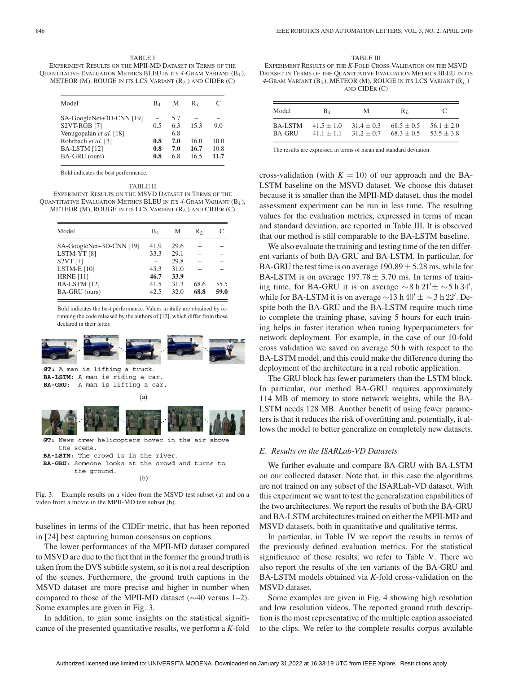TABLE I EXPERIMENT RESULTS ON THE MPII-MD DATASET IN TERMS OF THE QUANTITATIVE EVALUATION METRICS BLEU IN ITS *<sup>4</sup>*-GRAM VARIANT (B4 ), METEOR (M), ROUGE IN ITS LCS VARIANT  $(R_L)$  and CIDER (C)

| Model                    | B4  | М   | Rт   | C    |
|--------------------------|-----|-----|------|------|
|                          |     |     |      |      |
| SA-GoogleNet+3D-CNN [19] |     | 5.7 |      |      |
| S2VT-RGB [7]             | 0.5 | 63  | 15.3 | 9.0  |
| Venugopalan et al. [18]  |     | 6.8 |      |      |
| Rohrbach et al. [3]      | 0.8 | 7.0 | 16.0 | 10.0 |
| BA-LSTM [12]             | 0.8 | 7.0 | 16.7 | 10.8 |
| BA-GRU (ours)            | 0.8 | 6.8 | 16.5 | 11.7 |

Bold indicates the best performance.

TABLE II EXPERIMENT RESULTS ON THE MSVD DATASET IN TERMS OF THE QUANTITATIVE EVALUATION METRICS BLEU IN ITS *<sup>4</sup>*-GRAM VARIANT (B4 ), METEOR (M), ROUGE IN ITS LCS VARIANT  $(R_L)$  and CIDER (C)

| Model                    | B1   | М    | $\mathrm{R}_L$ | C    |
|--------------------------|------|------|----------------|------|
| SA-GoogleNet+3D-CNN [19] | 41.9 | 29.6 |                |      |
| LSTM-YT <sub>[8]</sub>   | 33.3 | 29.1 |                |      |
| <b>S2VT [7]</b>          |      | 29.8 |                |      |
| LSTM-E $[10]$            | 45.3 | 31.0 |                |      |
| <b>HRNE</b> [11]         | 46.7 | 33.9 |                |      |
| <b>BA-LSTM</b> [12]      | 41.5 | 31.3 | 68.6           | 55.5 |
| BA-GRU (ours)            | 42.5 | 32.0 | 68.8           | 59.0 |

Bold indicates the best performance. Values in italic are obtained by rerunning the code released by the authors of [12], which differ from those declared in their letter.



GT: A man is lifting a truck. BA-LSTM: A man is riding a car. BA-GRU: A man is lifting a car.



 $(a)$ 

the scene. BA-LSTM: The crowd is in the river. BA-GRU: Someone looks at the crowd and turns to the ground.

 $(b)$ 

Fig. 3. Example results on a video from the MSVD test subset (a) and on a video from a movie in the MPII-MD test subset (b).

baselines in terms of the CIDEr metric, that has been reported in [24] best capturing human consensus on captions.

The lower performances of the MPII-MD dataset compared to MSVD are due to the fact that in the former the ground truth is taken from the DVS subtitle system, so it is not a real description of the scenes. Furthermore, the ground truth captions in the MSVD dataset are more precise and higher in number when compared to those of the MPII-MD dataset (∼40 versus 1–2). Some examples are given in Fig. 3.

In addition, to gain some insights on the statistical significance of the presented quantitative results, we perform a *K*-fold

TABLE III EXPERIMENT RESULTS OF THE *K*-FOLD CROSS-VALIDATION ON THE MSVD DATASET IN TERMS OF THE QUANTITATIVE EVALUATION METRICS BLEU IN ITS  $4\mbox{-}$  GRAM VARIANT (B $_4$  ), METEOR (M), ROUGE IN ITS LCS VARIANT (R $_L$  ) AND CIDER (C)

| Model          | $B_{\rm 4}$  | М            | $R_L$        | $\mathbf{C}$ |
|----------------|--------------|--------------|--------------|--------------|
| <b>BA-LSTM</b> | $41.5 + 1.0$ | $31.4 + 0.3$ | $68.5 + 0.5$ | $56.1 + 2.0$ |
| BA-GRU         | $41.1 + 1.1$ | $31.2 + 0.7$ | $68.3 + 0.5$ | $53.5 + 3.8$ |

The results are expressed in terms of mean and standard deviation.

cross-validation (with  $K = 10$ ) of our approach and the BA-LSTM baseline on the MSVD dataset. We choose this dataset because it is smaller than the MPII-MD dataset, thus the model assessment experiment can be run in less time. The resulting values for the evaluation metrics, expressed in terms of mean and standard deviation, are reported in Table III. It is observed that our method is still comparable to the BA-LSTM baseline.

We also evaluate the training and testing time of the ten different variants of both BA-GRU and BA-LSTM. In particular, for BA-GRU the test time is on average  $190.89 \pm 5.28$  ms, while for BA-LSTM is on average  $197.78 \pm 3.70$  ms. In terms of training time, for BA-GRU it is on average ∼8 h 21' $\pm$  ∼5 h 34',<br>while for BA-J STM it is on average  $\approx 13$  h  $40' + \approx 3$  h 22'. Dewhile for BA-LSTM it is on average ~13 h 40'  $\pm$  ~3 h 22'. Despite both the BA-GRU and the BA-LSTM require much time spite both the BA-GRU and the BA-LSTM require much time to complete the training phase, saving 5 hours for each training helps in faster iteration when tuning hyperparameters for network deployment. For example, in the case of our 10-fold cross validation we saved on average 50 h with respect to the BA-LSTM model, and this could make the difference during the deployment of the architecture in a real robotic application.

The GRU block has fewer parameters than the LSTM block. In particular, our method BA-GRU requires approximately 114 MB of memory to store network weights, while the BA-LSTM needs 128 MB. Another benefit of using fewer parameters is that it reduces the risk of overfitting and, potentially, it allows the model to better generalize on completely new datasets.

## *E. Results on the ISARLab-VD Datasets*

We further evaluate and compare BA-GRU with BA-LSTM on our collected dataset. Note that, in this case the algorithms are not trained on any subset of the ISARLab-VD dataset. With this experiment we want to test the generalization capabilities of the two architectures. We report the results of both the BA-GRU and BA-LSTM architectures trained on either the MPII-MD and MSVD datasets, both in quantitative and qualitative terms.

In particular, in Table IV we report the results in terms of the previously defined evaluation metrics. For the statistical significance of those results, we refer to Table V. There we also report the results of the ten variants of the BA-GRU and BA-LSTM models obtained via *K*-fold cross-validation on the MSVD dataset.

Some examples are given in Fig. 4 showing high resolution and low resolution videos. The reported ground truth description is the most representative of the multiple caption associated to the clips. We refer to the complete results corpus available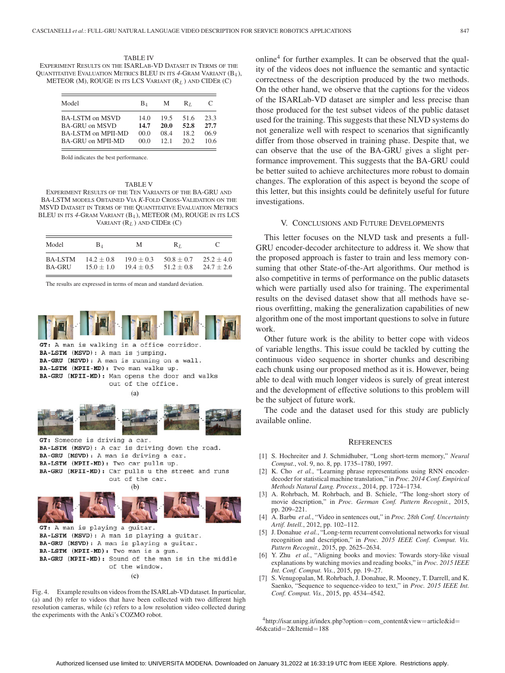TABLE IV EXPERIMENT RESULTS ON THE ISARLAB-VD DATASET IN TERMS OF THE QUANTITATIVE EVALUATION METRICS BLEU IN ITS *<sup>4</sup>*-GRAM VARIANT (B4 ), METEOR (M), ROUGE IN ITS LCS VARIANT  $(R_L)$  and CIDER (C)

| Model              | $B_4$ | М    | $R_{I}$ | $\mathcal{C}$ |
|--------------------|-------|------|---------|---------------|
| BA-LSTM on MSVD    | 14.0  | 19.5 | 51.6    | 23.3          |
| BA-GRU on MSVD     | 14.7  | 20.0 | 52.8    | 27.7          |
| BA-LSTM on MPII-MD | 00.0  | 08.4 | 18.2    | 069           |
| BA-GRU on MPII-MD  | 00.0  | 121  | 20.2    | 10.6          |

Bold indicates the best performance.

#### TABLE V

EXPERIMENT RESULTS OF THE TEN VARIANTS OF THE BA-GRU AND BA-LSTM MODELS OBTAINED VIA *K*-FOLD CROSS-VALIDATION ON THE MSVD DATASET IN TERMS OF THE QUANTITATIVE EVALUATION METRICS BLEU IN ITS *<sup>4</sup>*-GRAM VARIANT (B4 ), METEOR (M), ROUGE IN ITS LCS VARIANT  $(R_L)$  AND CIDER  $(C)$ 

| Model          | $\mathbf{B}_4$ | М            | $R_L$        |              |
|----------------|----------------|--------------|--------------|--------------|
| <b>BA-LSTM</b> | $14.2 + 0.8$   | $19.0 + 0.3$ | $50.8 + 0.7$ | $25.2 + 4.0$ |
| <b>BA-GRU</b>  | $15.0 + 1.0$   | $19.4 + 0.5$ | $51.2 + 0.8$ | $24.7 + 2.6$ |

The results are expressed in terms of mean and standard deviation.



GT: A man is walking in a office corridor. BA-LSTM (MSVD): A man is jumping. BA-GRU (MSVD): A man is running on a wall. BA-LSTM (MPII-MD): Two man walks up. BA-GRU (MPII-MD): Man opens the door and walks out of the office.





GT: Someone is driving a car. BA-LSTM (MSVD): A car is driving down the road. BA-GRU (MSVD): A man is driving a car. BA-LSTM (MPII-MD): Two car pulls up. BA-GRU (MPII-MD): Car pulls u the street and runs out of the car.  $(b)$ 



GT: A man is playing a guitar. BA-LSTM (MSVD): A man is playing a guitar. BA-GRU (MSVD): A man is playing a guitar. BA-LSTM (MPII-MD): Two man is a gun. BA-GRU (MPII-MD): Sound of the man is in the middle of the window.

 $(c)$ 

Fig. 4. Example results on videos from the ISARLab-VD dataset. In particular, (a) and (b) refer to videos that have been collected with two different high resolution cameras, while (c) refers to a low resolution video collected during the experiments with the Anki's COZMO robot.

 $online<sup>4</sup>$  for further examples. It can be observed that the quality of the videos does not influence the semantic and syntactic correctness of the description produced by the two methods. On the other hand, we observe that the captions for the videos of the ISARLab-VD dataset are simpler and less precise than those produced for the test subset videos of the public dataset used for the training. This suggests that these NLVD systems do not generalize well with respect to scenarios that significantly differ from those observed in training phase. Despite that, we can observe that the use of the BA-GRU gives a slight performance improvement. This suggests that the BA-GRU could be better suited to achieve architectures more robust to domain changes. The exploration of this aspect is beyond the scope of this letter, but this insights could be definitely useful for future investigations.

### V. CONCLUSIONS AND FUTURE DEVELOPMENTS

This letter focuses on the NLVD task and presents a full-GRU encoder-decoder architecture to address it. We show that the proposed approach is faster to train and less memory consuming that other State-of-the-Art algorithms. Our method is also competitive in terms of performance on the public datasets which were partially used also for training. The experimental results on the devised dataset show that all methods have serious overfitting, making the generalization capabilities of new algorithm one of the most important questions to solve in future work.

Other future work is the ability to better cope with videos of variable lengths. This issue could be tackled by cutting the continuous video sequence in shorter chunks and describing each chunk using our proposed method as it is. However, being able to deal with much longer videos is surely of great interest and the development of effective solutions to this problem will be the subject of future work.

The code and the dataset used for this study are publicly available online.

#### **REFERENCES**

- [1] S. Hochreiter and J. Schmidhuber, "Long short-term memory," *Neural Comput.*, vol. 9, no. 8, pp. 1735–1780, 1997.
- [2] K. Cho et al., "Learning phrase representations using RNN encoderdecoder for statistical machine translation," in *Proc. 2014 Conf. Empirical Methods Natural Lang. Process.*, 2014, pp. 1724–1734.
- [3] A. Rohrbach, M. Rohrbach, and B. Schiele, "The long-short story of movie description," in *Proc. German Conf. Pattern Recognit.*, 2015, pp. 209–221.
- [4] A. Barbu *et al.*, "Video in sentences out," in *Proc. 28th Conf. Uncertainty Artif. Intell.*, 2012, pp. 102–112.
- [5] J. Donahue *et al.*, "Long-term recurrent convolutional networks for visual recognition and description," in *Proc. 2015 IEEE Conf. Comput. Vis. Pattern Recognit.*, 2015, pp. 2625–2634.
- [6] Y. Zhu *et al.*, "Aligning books and movies: Towards story-like visual explanations by watching movies and reading books," in *Proc. 2015 IEEE Int. Conf. Comput. Vis.*, 2015, pp. 19–27.
- [7] S. Venugopalan, M. Rohrbach, J. Donahue, R. Mooney, T. Darrell, and K. Saenko, "Sequence to sequence-video to text," in *Proc. 2015 IEEE Int. Conf. Comput. Vis.*, 2015, pp. 4534–4542.

4http://isar.unipg.it/index.php?option=com\_content&view=article&id= 46&catid=2&Itemid=<sup>188</sup>